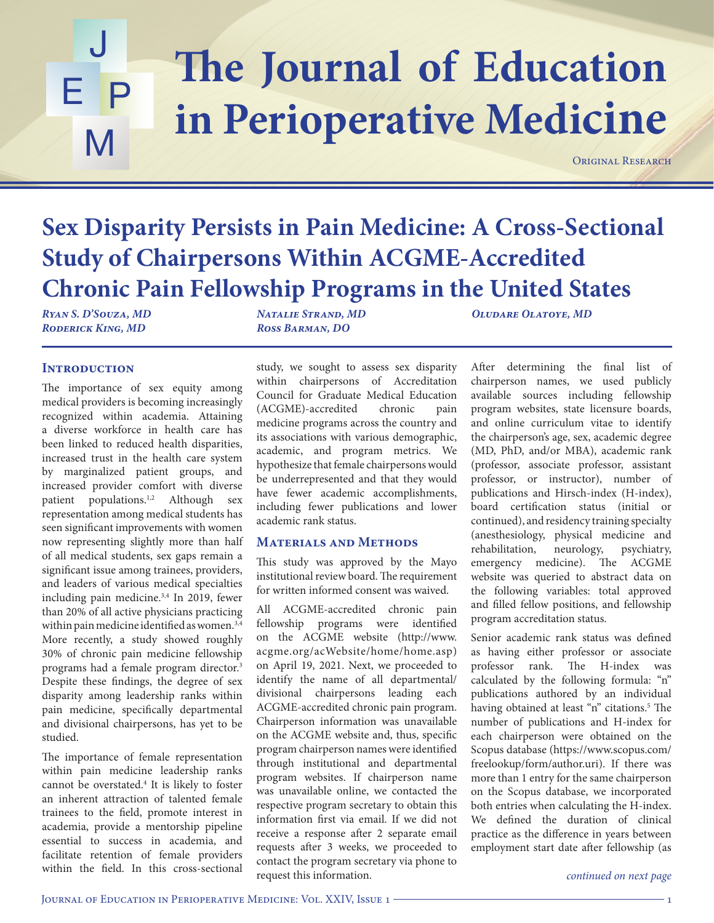## The Journal of Education J E P M **in Perioperative Medicine**

ORIGINAL RESEARCH

# **Sex Disparity Persists in Pain Medicine: A Cross-Sectional Study of Chairpersons Within ACGME-Accredited Chronic Pain Fellowship Programs in the United States**

*Ryan S. D'Souza, MD Roderick King, MD*

*Natalie Strand, MD Ross Barman, DO*

*Oludare Olatoye, MD*

## **INTRODUCTION**

The importance of sex equity among medical providers is becoming increasingly recognized within academia. Attaining a diverse workforce in health care has been linked to reduced health disparities, increased trust in the health care system by marginalized patient groups, and increased provider comfort with diverse patient populations.<sup>1,2</sup> Although sex representation among medical students has seen significant improvements with women now representing slightly more than half of all medical students, sex gaps remain a significant issue among trainees, providers, and leaders of various medical specialties including pain medicine.3,4 In 2019, fewer than 20% of all active physicians practicing within pain medicine identified as women.3,4 More recently, a study showed roughly 30% of chronic pain medicine fellowship programs had a female program director.3 Despite these findings, the degree of sex disparity among leadership ranks within pain medicine, specifically departmental and divisional chairpersons, has yet to be studied.

The importance of female representation within pain medicine leadership ranks cannot be overstated.4 It is likely to foster an inherent attraction of talented female trainees to the field, promote interest in academia, provide a mentorship pipeline essential to success in academia, and facilitate retention of female providers within the field. In this cross-sectional

study, we sought to assess sex disparity within chairpersons of Accreditation Council for Graduate Medical Education (ACGME)-accredited chronic pain medicine programs across the country and its associations with various demographic, academic, and program metrics. We hypothesize that female chairpersons would be underrepresented and that they would have fewer academic accomplishments, including fewer publications and lower academic rank status.

## **Materials and Methods**

This study was approved by the Mayo institutional review board. The requirement for written informed consent was waived.

All ACGME-accredited chronic pain fellowship programs were identified on the ACGME website (http://www. acgme.org/acWebsite/home/home.asp) on April 19, 2021. Next, we proceeded to identify the name of all departmental/ divisional chairpersons leading each ACGME-accredited chronic pain program. Chairperson information was unavailable on the ACGME website and, thus, specific program chairperson names were identified through institutional and departmental program websites. If chairperson name was unavailable online, we contacted the respective program secretary to obtain this information first via email. If we did not receive a response after 2 separate email requests after 3 weeks, we proceeded to contact the program secretary via phone to request this information.

After determining the final list of chairperson names, we used publicly available sources including fellowship program websites, state licensure boards, and online curriculum vitae to identify the chairperson's age, sex, academic degree (MD, PhD, and/or MBA), academic rank (professor, associate professor, assistant professor, or instructor), number of publications and Hirsch-index (H-index), board certification status (initial or continued), and residency training specialty (anesthesiology, physical medicine and rehabilitation, neurology, psychiatry, emergency medicine). The ACGME website was queried to abstract data on the following variables: total approved and filled fellow positions, and fellowship program accreditation status.

Senior academic rank status was defined as having either professor or associate professor rank. The H-index was calculated by the following formula: "n" publications authored by an individual having obtained at least "n" citations.<sup>5</sup> The number of publications and H-index for each chairperson were obtained on the Scopus database (https://www.scopus.com/ freelookup/form/author.uri). If there was more than 1 entry for the same chairperson on the Scopus database, we incorporated both entries when calculating the H-index. We defined the duration of clinical practice as the difference in years between employment start date after fellowship (as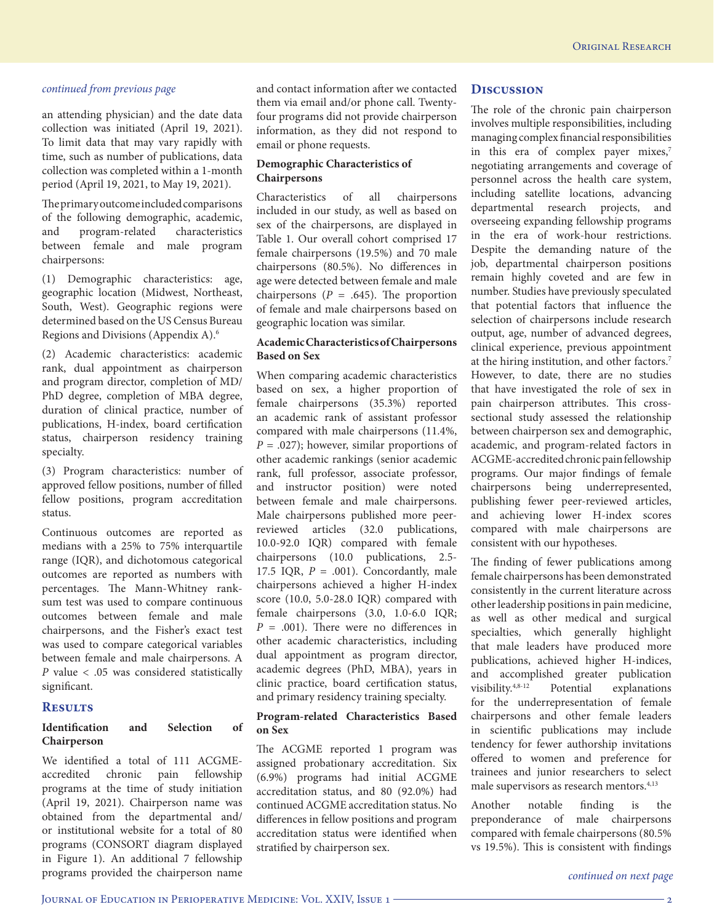an attending physician) and the date data collection was initiated (April 19, 2021). To limit data that may vary rapidly with time, such as number of publications, data collection was completed within a 1-month period (April 19, 2021, to May 19, 2021).

The primary outcome included comparisons of the following demographic, academic, and program-related characteristics between female and male program chairpersons:

(1) Demographic characteristics: age, geographic location (Midwest, Northeast, South, West). Geographic regions were determined based on the US Census Bureau Regions and Divisions (Appendix A).6

(2) Academic characteristics: academic rank, dual appointment as chairperson and program director, completion of MD/ PhD degree, completion of MBA degree, duration of clinical practice, number of publications, H-index, board certification status, chairperson residency training specialty.

(3) Program characteristics: number of approved fellow positions, number of filled fellow positions, program accreditation status.

Continuous outcomes are reported as medians with a 25% to 75% interquartile range (IQR), and dichotomous categorical outcomes are reported as numbers with percentages. The Mann-Whitney ranksum test was used to compare continuous outcomes between female and male chairpersons, and the Fisher's exact test was used to compare categorical variables between female and male chairpersons. A *P* value < .05 was considered statistically significant.

### **Results**

### **Identification and Selection of Chairperson**

We identified a total of 111 ACGMEaccredited chronic pain fellowship programs at the time of study initiation (April 19, 2021). Chairperson name was obtained from the departmental and/ or institutional website for a total of 80 programs (CONSORT diagram displayed in Figure 1). An additional 7 fellowship programs provided the chairperson name

and contact information after we contacted them via email and/or phone call. Twentyfour programs did not provide chairperson information, as they did not respond to email or phone requests.

### **Demographic Characteristics of Chairpersons**

Characteristics of all chairpersons included in our study, as well as based on sex of the chairpersons, are displayed in Table 1. Our overall cohort comprised 17 female chairpersons (19.5%) and 70 male chairpersons (80.5%). No differences in age were detected between female and male chairpersons  $(P = .645)$ . The proportion of female and male chairpersons based on geographic location was similar.

### **Academic Characteristics of Chairpersons Based on Sex**

When comparing academic characteristics based on sex, a higher proportion of female chairpersons (35.3%) reported an academic rank of assistant professor compared with male chairpersons (11.4%, *P* = .027); however, similar proportions of other academic rankings (senior academic rank, full professor, associate professor, and instructor position) were noted between female and male chairpersons. Male chairpersons published more peerreviewed articles (32.0 publications, 10.0-92.0 IQR) compared with female chairpersons (10.0 publications, 2.5- 17.5 IQR,  $P = .001$ ). Concordantly, male chairpersons achieved a higher H-index score (10.0, 5.0-28.0 IQR) compared with female chairpersons (3.0, 1.0-6.0 IQR;  $P = .001$ ). There were no differences in other academic characteristics, including dual appointment as program director, academic degrees (PhD, MBA), years in clinic practice, board certification status, and primary residency training specialty.

### **Program-related Characteristics Based on Sex**

The ACGME reported 1 program was assigned probationary accreditation. Six (6.9%) programs had initial ACGME accreditation status, and 80 (92.0%) had continued ACGME accreditation status. No differences in fellow positions and program accreditation status were identified when stratified by chairperson sex.

## **Discussion**

The role of the chronic pain chairperson involves multiple responsibilities, including managing complex financial responsibilities in this era of complex payer mixes,7 negotiating arrangements and coverage of personnel across the health care system, including satellite locations, advancing departmental research projects, and overseeing expanding fellowship programs in the era of work-hour restrictions. Despite the demanding nature of the job, departmental chairperson positions remain highly coveted and are few in number. Studies have previously speculated that potential factors that influence the selection of chairpersons include research output, age, number of advanced degrees, clinical experience, previous appointment at the hiring institution, and other factors.7 However, to date, there are no studies that have investigated the role of sex in pain chairperson attributes. This crosssectional study assessed the relationship between chairperson sex and demographic, academic, and program-related factors in ACGME-accredited chronic pain fellowship programs. Our major findings of female chairpersons being underrepresented, publishing fewer peer-reviewed articles, and achieving lower H-index scores compared with male chairpersons are consistent with our hypotheses.

The finding of fewer publications among female chairpersons has been demonstrated consistently in the current literature across other leadership positions in pain medicine, as well as other medical and surgical specialties, which generally highlight that male leaders have produced more publications, achieved higher H-indices, and accomplished greater publication visibility.4,8-12 Potential explanations for the underrepresentation of female chairpersons and other female leaders in scientific publications may include tendency for fewer authorship invitations offered to women and preference for trainees and junior researchers to select male supervisors as research mentors.4,13

Another notable finding is the preponderance of male chairpersons compared with female chairpersons (80.5% vs 19.5%). This is consistent with findings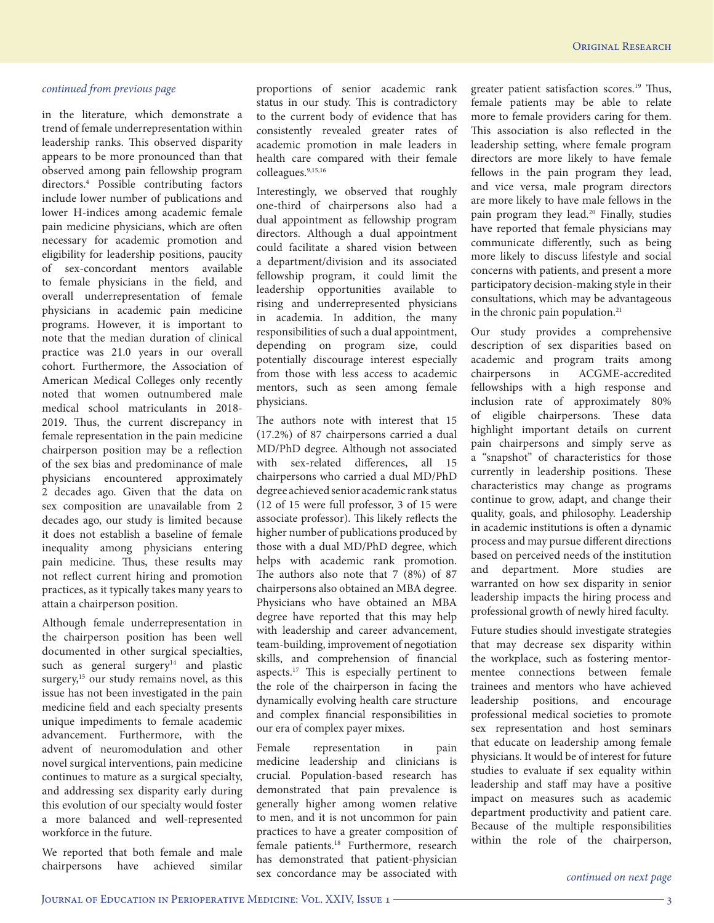in the literature, which demonstrate a trend of female underrepresentation within leadership ranks. This observed disparity appears to be more pronounced than that observed among pain fellowship program directors.4 Possible contributing factors include lower number of publications and lower H-indices among academic female pain medicine physicians, which are often necessary for academic promotion and eligibility for leadership positions, paucity of sex-concordant mentors available to female physicians in the field, and overall underrepresentation of female physicians in academic pain medicine programs. However, it is important to note that the median duration of clinical practice was 21.0 years in our overall cohort. Furthermore, the Association of American Medical Colleges only recently noted that women outnumbered male medical school matriculants in 2018- 2019. Thus, the current discrepancy in female representation in the pain medicine chairperson position may be a reflection of the sex bias and predominance of male physicians encountered approximately 2 decades ago. Given that the data on sex composition are unavailable from 2 decades ago, our study is limited because it does not establish a baseline of female inequality among physicians entering pain medicine. Thus, these results may not reflect current hiring and promotion practices, as it typically takes many years to attain a chairperson position.

Although female underrepresentation in the chairperson position has been well documented in other surgical specialties, such as general surgery $14$  and plastic surgery,<sup>15</sup> our study remains novel, as this issue has not been investigated in the pain medicine field and each specialty presents unique impediments to female academic advancement. Furthermore, with the advent of neuromodulation and other novel surgical interventions, pain medicine continues to mature as a surgical specialty, and addressing sex disparity early during this evolution of our specialty would foster a more balanced and well-represented workforce in the future.

We reported that both female and male chairpersons have achieved similar

proportions of senior academic rank status in our study. This is contradictory to the current body of evidence that has consistently revealed greater rates of academic promotion in male leaders in health care compared with their female colleagues.9,15,16

Interestingly, we observed that roughly one-third of chairpersons also had a dual appointment as fellowship program directors. Although a dual appointment could facilitate a shared vision between a department/division and its associated fellowship program, it could limit the leadership opportunities available to rising and underrepresented physicians in academia. In addition, the many responsibilities of such a dual appointment, depending on program size, could potentially discourage interest especially from those with less access to academic mentors, such as seen among female physicians.

The authors note with interest that 15 (17.2%) of 87 chairpersons carried a dual MD/PhD degree. Although not associated with sex-related differences, all 15 chairpersons who carried a dual MD/PhD degree achieved senior academic rank status (12 of 15 were full professor, 3 of 15 were associate professor). This likely reflects the higher number of publications produced by those with a dual MD/PhD degree, which helps with academic rank promotion. The authors also note that 7 (8%) of 87 chairpersons also obtained an MBA degree. Physicians who have obtained an MBA degree have reported that this may help with leadership and career advancement, team-building, improvement of negotiation skills, and comprehension of financial aspects.<sup>17</sup> This is especially pertinent to the role of the chairperson in facing the dynamically evolving health care structure and complex financial responsibilities in our era of complex payer mixes.

Female representation in pain medicine leadership and clinicians is crucial. Population-based research has demonstrated that pain prevalence is generally higher among women relative to men, and it is not uncommon for pain practices to have a greater composition of female patients.<sup>18</sup> Furthermore, research has demonstrated that patient-physician sex concordance may be associated with

greater patient satisfaction scores.19 Thus, female patients may be able to relate more to female providers caring for them. This association is also reflected in the leadership setting, where female program directors are more likely to have female fellows in the pain program they lead, and vice versa, male program directors are more likely to have male fellows in the pain program they lead.20 Finally, studies have reported that female physicians may communicate differently, such as being more likely to discuss lifestyle and social concerns with patients, and present a more participatory decision-making style in their consultations, which may be advantageous in the chronic pain population.<sup>21</sup>

Our study provides a comprehensive description of sex disparities based on academic and program traits among chairpersons in ACGME-accredited fellowships with a high response and inclusion rate of approximately 80% of eligible chairpersons. These data highlight important details on current pain chairpersons and simply serve as a "snapshot" of characteristics for those currently in leadership positions. These characteristics may change as programs continue to grow, adapt, and change their quality, goals, and philosophy. Leadership in academic institutions is often a dynamic process and may pursue different directions based on perceived needs of the institution and department. More studies are warranted on how sex disparity in senior leadership impacts the hiring process and professional growth of newly hired faculty.

Future studies should investigate strategies that may decrease sex disparity within the workplace, such as fostering mentormentee connections between female trainees and mentors who have achieved leadership positions, and encourage professional medical societies to promote sex representation and host seminars that educate on leadership among female physicians. It would be of interest for future studies to evaluate if sex equality within leadership and staff may have a positive impact on measures such as academic department productivity and patient care. Because of the multiple responsibilities within the role of the chairperson,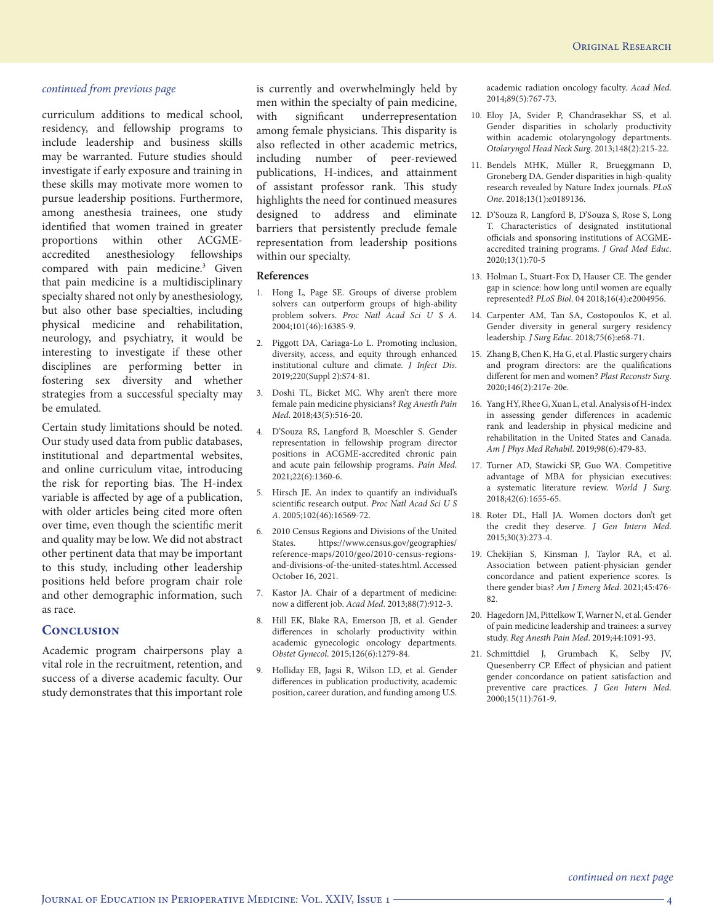curriculum additions to medical school, residency, and fellowship programs to include leadership and business skills may be warranted. Future studies should investigate if early exposure and training in these skills may motivate more women to pursue leadership positions. Furthermore, among anesthesia trainees, one study identified that women trained in greater proportions within other ACGMEaccredited anesthesiology fellowships compared with pain medicine.<sup>3</sup> Given that pain medicine is a multidisciplinary specialty shared not only by anesthesiology, but also other base specialties, including physical medicine and rehabilitation, neurology, and psychiatry, it would be interesting to investigate if these other disciplines are performing better in fostering sex diversity and whether strategies from a successful specialty may be emulated.

Certain study limitations should be noted. Our study used data from public databases, institutional and departmental websites, and online curriculum vitae, introducing the risk for reporting bias. The H-index variable is affected by age of a publication, with older articles being cited more often over time, even though the scientific merit and quality may be low. We did not abstract other pertinent data that may be important to this study, including other leadership positions held before program chair role and other demographic information, such as race.

## **Conclusion**

Academic program chairpersons play a vital role in the recruitment, retention, and success of a diverse academic faculty. Our study demonstrates that this important role

is currently and overwhelmingly held by men within the specialty of pain medicine, with significant underrepresentation among female physicians. This disparity is also reflected in other academic metrics, including number of peer-reviewed publications, H-indices, and attainment of assistant professor rank. This study highlights the need for continued measures designed to address and eliminate barriers that persistently preclude female representation from leadership positions within our specialty.

#### **References**

- 1. Hong L, Page SE. Groups of diverse problem solvers can outperform groups of high-ability problem solvers. *Proc Natl Acad Sci U S A*. 2004;101(46):16385-9.
- 2. Piggott DA, Cariaga-Lo L. Promoting inclusion, diversity, access, and equity through enhanced institutional culture and climate. *J Infect Dis*. 2019;220(Suppl 2):S74-81.
- 3. Doshi TL, Bicket MC. Why aren't there more female pain medicine physicians? *Reg Anesth Pain Med*. 2018;43(5):516-20.
- 4. D'Souza RS, Langford B, Moeschler S. Gender representation in fellowship program director positions in ACGME-accredited chronic pain and acute pain fellowship programs. *Pain Med*. 2021;22(6):1360-6.
- 5. Hirsch JE. An index to quantify an individual's scientific research output. *Proc Natl Acad Sci U S A*. 2005;102(46):16569-72.
- 6. 2010 Census Regions and Divisions of the United States. https://www.census.gov/geographies/ reference-maps/2010/geo/2010-census-regionsand-divisions-of-the-united-states.html. Accessed October 16, 2021.
- 7. Kastor JA. Chair of a department of medicine: now a different job. *Acad Med*. 2013;88(7):912-3.
- 8. Hill EK, Blake RA, Emerson JB, et al. Gender differences in scholarly productivity within academic gynecologic oncology departments. *Obstet Gynecol*. 2015;126(6):1279-84.
- 9. Holliday EB, Jagsi R, Wilson LD, et al. Gender differences in publication productivity, academic position, career duration, and funding among U.S.

academic radiation oncology faculty. *Acad Med*. 2014;89(5):767-73.

- 10. Eloy JA, Svider P, Chandrasekhar SS, et al. Gender disparities in scholarly productivity within academic otolaryngology departments. *Otolaryngol Head Neck Surg*. 2013;148(2):215-22.
- 11. Bendels MHK, Müller R, Brueggmann D, Groneberg DA. Gender disparities in high-quality research revealed by Nature Index journals. *PLoS One*. 2018;13(1):e0189136.
- 12. D'Souza R, Langford B, D'Souza S, Rose S, Long T. Characteristics of designated institutional officials and sponsoring institutions of ACGMEaccredited training programs. *J Grad Med Educ*. 2020;13(1):70-5
- 13. Holman L, Stuart-Fox D, Hauser CE. The gender gap in science: how long until women are equally represented? *PLoS Biol*. 04 2018;16(4):e2004956.
- 14. Carpenter AM, Tan SA, Costopoulos K, et al. Gender diversity in general surgery residency leadership. *J Surg Educ*. 2018;75(6):e68-71.
- 15. Zhang B, Chen K, Ha G, et al. Plastic surgery chairs and program directors: are the qualifications different for men and women? *Plast Reconstr Surg*. 2020;146(2):217e-20e.
- 16. Yang HY, Rhee G, Xuan L, et al. Analysis of H-index in assessing gender differences in academic rank and leadership in physical medicine and rehabilitation in the United States and Canada. *Am J Phys Med Rehabil*. 2019;98(6):479-83.
- 17. Turner AD, Stawicki SP, Guo WA. Competitive advantage of MBA for physician executives: a systematic literature review. *World J Surg*. 2018;42(6):1655-65.
- 18. Roter DL, Hall JA. Women doctors don't get the credit they deserve. *J Gen Intern Med*. 2015;30(3):273-4.
- 19. Chekijian S, Kinsman J, Taylor RA, et al. Association between patient-physician gender concordance and patient experience scores. Is there gender bias? *Am J Emerg Med*. 2021;45:476- 82.
- 20. Hagedorn JM, Pittelkow T, Warner N, et al. Gender of pain medicine leadership and trainees: a survey study. *Reg Anesth Pain Med*. 2019;44:1091-93.
- 21. Schmittdiel J, Grumbach K, Selby JV, Quesenberry CP. Effect of physician and patient gender concordance on patient satisfaction and preventive care practices. *J Gen Intern Med*. 2000;15(11):761-9.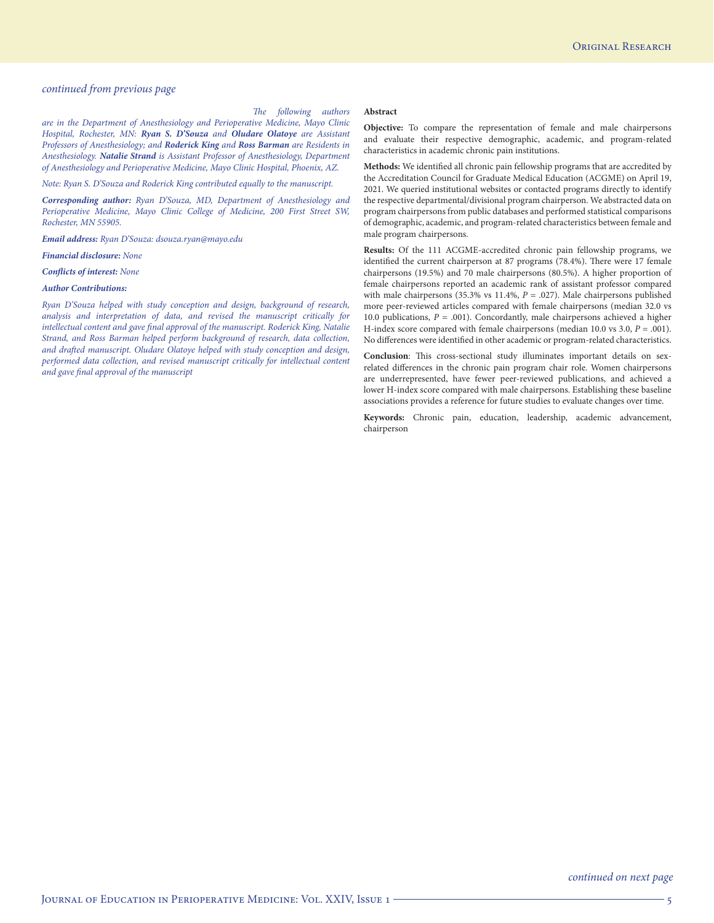#### *The following authors*

**Abstract**

*are in the Department of Anesthesiology and Perioperative Medicine, Mayo Clinic Hospital, Rochester, MN: Ryan S. D'Souza and Oludare Olatoye are Assistant Professors of Anesthesiology; and Roderick King and Ross Barman are Residents in Anesthesiology. Natalie Strand is Assistant Professor of Anesthesiology, Department of Anesthesiology and Perioperative Medicine, Mayo Clinic Hospital, Phoenix, AZ.*

*Note: Ryan S. D'Souza and Roderick King contributed equally to the manuscript.*

*Corresponding author: Ryan D'Souza, MD, Department of Anesthesiology and Perioperative Medicine, Mayo Clinic College of Medicine, 200 First Street SW, Rochester, MN 55905.*

*Email address: Ryan D'Souza: dsouza.ryan@mayo.edu*

#### *Financial disclosure: None*

*Conflicts of interest: None*

#### *Author Contributions:*

*Ryan D'Souza helped with study conception and design, background of research, analysis and interpretation of data, and revised the manuscript critically for intellectual content and gave final approval of the manuscript. Roderick King, Natalie Strand, and Ross Barman helped perform background of research, data collection, and drafted manuscript. Oludare Olatoye helped with study conception and design, performed data collection, and revised manuscript critically for intellectual content and gave final approval of the manuscript*

#### **Objective:** To compare the representation of female and male chairpersons and evaluate their respective demographic, academic, and program-related characteristics in academic chronic pain institutions.

**Methods:** We identified all chronic pain fellowship programs that are accredited by the Accreditation Council for Graduate Medical Education (ACGME) on April 19, 2021. We queried institutional websites or contacted programs directly to identify the respective departmental/divisional program chairperson. We abstracted data on program chairpersons from public databases and performed statistical comparisons of demographic, academic, and program-related characteristics between female and male program chairpersons.

**Results:** Of the 111 ACGME-accredited chronic pain fellowship programs, we identified the current chairperson at 87 programs (78.4%). There were 17 female chairpersons (19.5%) and 70 male chairpersons (80.5%). A higher proportion of female chairpersons reported an academic rank of assistant professor compared with male chairpersons (35.3% vs 11.4%,  $P = .027$ ). Male chairpersons published more peer-reviewed articles compared with female chairpersons (median 32.0 vs 10.0 publications,  $P = .001$ ). Concordantly, male chairpersons achieved a higher H-index score compared with female chairpersons (median 10.0 vs 3.0, *P* = .001). No differences were identified in other academic or program-related characteristics.

**Conclusion**: This cross-sectional study illuminates important details on sexrelated differences in the chronic pain program chair role. Women chairpersons are underrepresented, have fewer peer-reviewed publications, and achieved a lower H-index score compared with male chairpersons. Establishing these baseline associations provides a reference for future studies to evaluate changes over time.

**Keywords:** Chronic pain, education, leadership, academic advancement, chairperson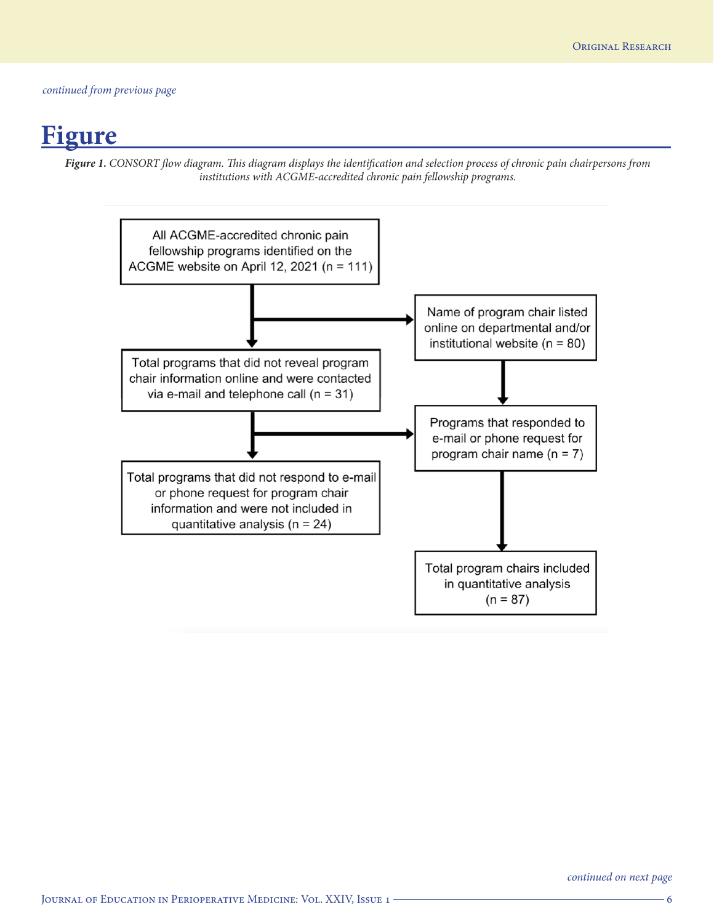## **Figure**

*Figure 1. CONSORT flow diagram. This diagram displays the identification and selection process of chronic pain chairpersons from institutions with ACGME-accredited chronic pain fellowship programs.*

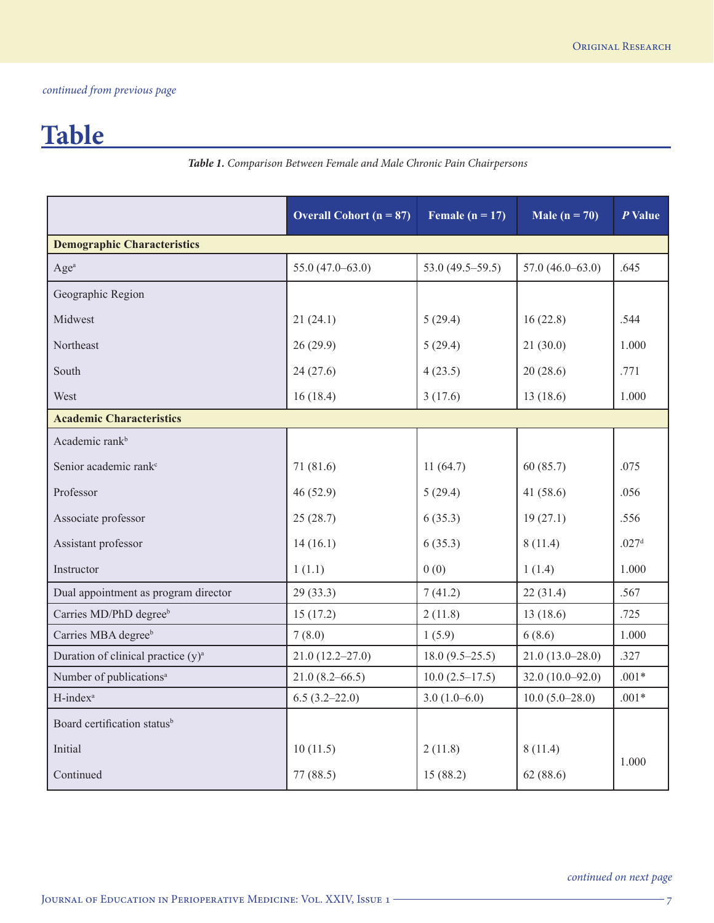# **Table**

*Table 1. Comparison Between Female and Male Chronic Pain Chairpersons*

|                                                | Overall Cohort ( $n = 87$ ) | Female ( $n = 17$ )  | Male ( $n = 70$ )   | $P$ Value         |  |  |  |
|------------------------------------------------|-----------------------------|----------------------|---------------------|-------------------|--|--|--|
| <b>Demographic Characteristics</b>             |                             |                      |                     |                   |  |  |  |
| Age <sup>a</sup>                               | $55.0(47.0-63.0)$           | 53.0 $(49.5 - 59.5)$ | $57.0(46.0-63.0)$   | .645              |  |  |  |
| Geographic Region                              |                             |                      |                     |                   |  |  |  |
| Midwest                                        | 21(24.1)                    | 5(29.4)              | 16(22.8)            | .544              |  |  |  |
| Northeast                                      | 26(29.9)                    | 5(29.4)              | 21(30.0)            | 1.000             |  |  |  |
| South                                          | 24(27.6)                    | 4(23.5)              | 20(28.6)            | .771              |  |  |  |
| West                                           | 16(18.4)                    | 3(17.6)              | 13(18.6)            | 1.000             |  |  |  |
| <b>Academic Characteristics</b>                |                             |                      |                     |                   |  |  |  |
| Academic rank <sup>b</sup>                     |                             |                      |                     |                   |  |  |  |
| Senior academic rank <sup>c</sup>              | 71(81.6)                    | 11(64.7)             | 60(85.7)            | .075              |  |  |  |
| Professor                                      | 46(52.9)                    | 5(29.4)              | 41 $(58.6)$         | .056              |  |  |  |
| Associate professor                            | 25(28.7)                    | 6(35.3)              | 19(27.1)            | .556              |  |  |  |
| Assistant professor                            | 14(16.1)                    | 6(35.3)              | 8(11.4)             | .027 <sup>d</sup> |  |  |  |
| Instructor                                     | 1(1.1)                      | 0(0)                 | 1(1.4)              | 1.000             |  |  |  |
| Dual appointment as program director           | 29(33.3)                    | 7(41.2)              | 22(31.4)            | .567              |  |  |  |
| Carries MD/PhD degree <sup>b</sup>             | 15(17.2)                    | 2(11.8)              | 13(18.6)            | .725              |  |  |  |
| Carries MBA degreeb                            | 7(8.0)                      | 1(5.9)               | 6(8.6)              | 1.000             |  |  |  |
| Duration of clinical practice (y) <sup>a</sup> | $21.0(12.2 - 27.0)$         | $18.0(9.5-25.5)$     | $21.0(13.0 - 28.0)$ | .327              |  |  |  |
| Number of publications <sup>a</sup>            | $21.0(8.2 - 66.5)$          | $10.0(2.5-17.5)$     | $32.0(10.0-92.0)$   | $.001*$           |  |  |  |
| H-index <sup>a</sup>                           | $6.5(3.2-22.0)$             | $3.0(1.0-6.0)$       | $10.0 (5.0 - 28.0)$ | $.001*$           |  |  |  |
| Board certification status <sup>b</sup>        |                             |                      |                     |                   |  |  |  |
| Initial                                        | 10(11.5)                    | 2(11.8)              | 8(11.4)             |                   |  |  |  |
| Continued                                      | 77(88.5)                    | 15 (88.2)            | 62(88.6)            | 1.000             |  |  |  |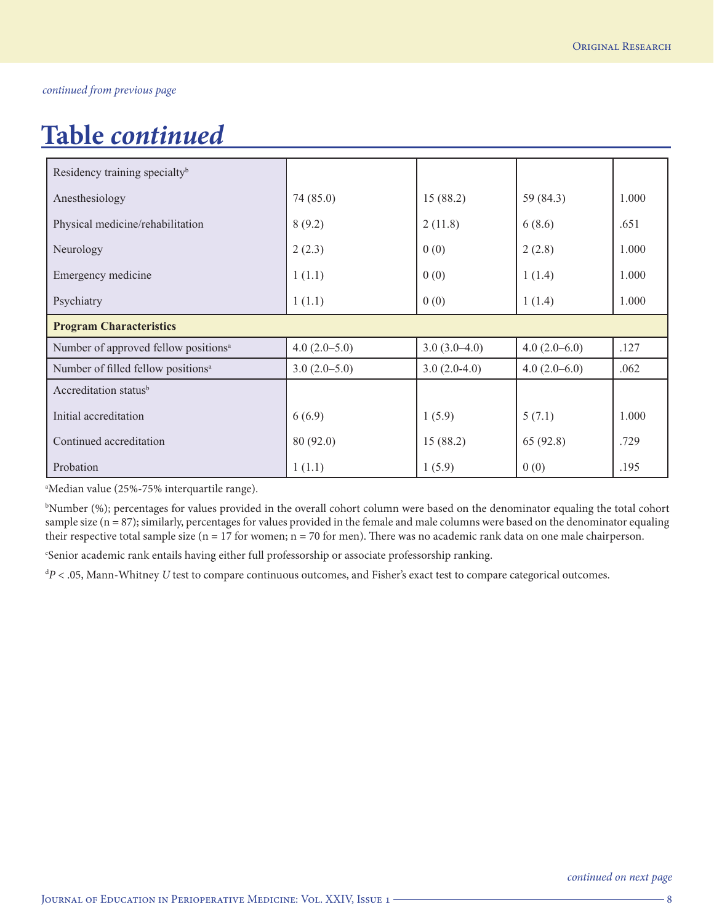# **Table** *continued*

| Residency training specialty <sup>b</sup>        |                |                |                |       |  |  |
|--------------------------------------------------|----------------|----------------|----------------|-------|--|--|
| Anesthesiology                                   | 74 (85.0)      | 15(88.2)       | 59 (84.3)      | 1.000 |  |  |
| Physical medicine/rehabilitation                 | 8(9.2)         | 2(11.8)        | 6(8.6)         | .651  |  |  |
| Neurology                                        | 2(2.3)         | 0(0)           | 2(2.8)         | 1.000 |  |  |
| Emergency medicine                               | 1(1.1)         | 0(0)           | 1(1.4)         | 1.000 |  |  |
| Psychiatry                                       | 1(1.1)         | 0(0)           | 1(1.4)         | 1.000 |  |  |
| <b>Program Characteristics</b>                   |                |                |                |       |  |  |
| Number of approved fellow positions <sup>a</sup> | $4.0(2.0-5.0)$ | $3.0(3.0-4.0)$ | $4.0(2.0-6.0)$ | .127  |  |  |
| Number of filled fellow positions <sup>a</sup>   | $3.0(2.0-5.0)$ | $3.0(2.0-4.0)$ | $4.0(2.0-6.0)$ | .062  |  |  |
| Accreditation status <sup>b</sup>                |                |                |                |       |  |  |
| Initial accreditation                            | 6(6.9)         | 1(5.9)         | 5(7.1)         | 1.000 |  |  |
| Continued accreditation                          | 80(92.0)       | 15(88.2)       | 65 (92.8)      | .729  |  |  |
| Probation                                        | 1(1.1)         | 1(5.9)         | 0(0)           | .195  |  |  |

a Median value (25%-75% interquartile range).

b Number (%); percentages for values provided in the overall cohort column were based on the denominator equaling the total cohort sample size (n = 87); similarly, percentages for values provided in the female and male columns were based on the denominator equaling their respective total sample size ( $n = 17$  for women;  $n = 70$  for men). There was no academic rank data on one male chairperson.

c Senior academic rank entails having either full professorship or associate professorship ranking.

d *P* < .05, Mann-Whitney *U* test to compare continuous outcomes, and Fisher's exact test to compare categorical outcomes.